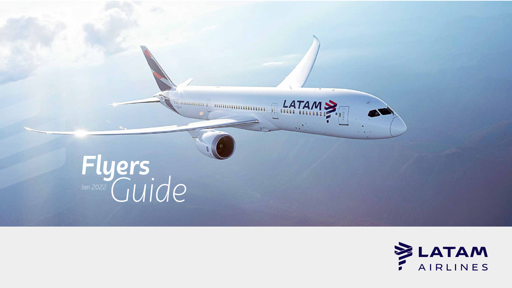



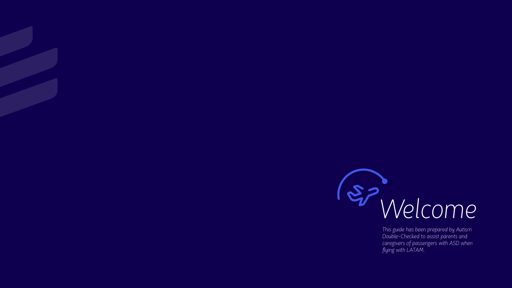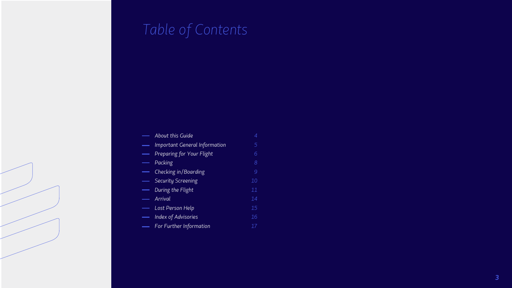# *Table of Contents*

*7 3*

| <b>About this Guide</b>              |    |
|--------------------------------------|----|
| <b>Important General Information</b> | 5  |
| Preparing for Your Flight            | 6  |
| Packing                              | 8  |
| Checking in/Boarding                 | 9  |
| <b>Security Screening</b>            | 10 |
| During the Flight                    | 11 |
| Arrival                              | 14 |
| Lost Person Help                     | 15 |
| <b>Index of Advisories</b>           | 16 |
| For Further Information              |    |
|                                      |    |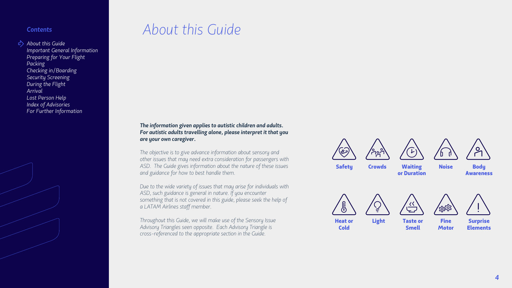## *About this Guide*

#### *The information given applies to autistic children and adults. For autistic adults travelling alone, please interpret it that you are your own caregiver.*

*The objective is to give advance information about sensory and other issues that may need extra consideration for passengers with ASD. The Guide gives information about the nature of these issues and guidance for how to best handle them.* 



Heat or **Cold** 



Surprise **Elements** 

*Due to the wide variety of issues that may arise for individuals with ASD, such guidance is general in nature. If you encounter something that is not covered in this guide, please seek the help of a LATAM Airlines staff member.*

*Throughout this Guide, we will make use of the Sensory Issue Advisory Triangles seen opposite. Each Advisory Triangle is cross-referenced to the appropriate section in the Guide.* 









Safety Crowds Waiting or Duration





Noise Body Awareness



Light Taste or Smell



**Fine Motor** 

#### *Contents*

*About this Guide*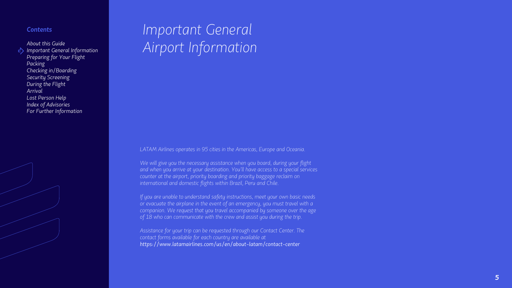## *Important General Airport Information*

*LATAM Airlines operates in 95 cities in the Americas, Europe and Oceania.*

*We will give you the necessary assistance when you board, during your flight and when you arrive at your destination. You'll have access to a special services counter at the airport, priority boarding and priority baggage reclaim on international and domestic flights within Brazil, Peru and Chile.*

*If you are unable to understand safety instructions, meet your own basic needs or evacuate the airplane in the event of an emergency, you must travel with a companion. We request that you travel accompanied by someone over the age of 18 who can communicate with the crew and assist you during the trip.*

*Assistance for your trip can be requested through our Contact Center. The contact forms available for each country are available at https://www.latamairlines.com/us/en/about-latam/contact-center*

*5*

#### *Contents*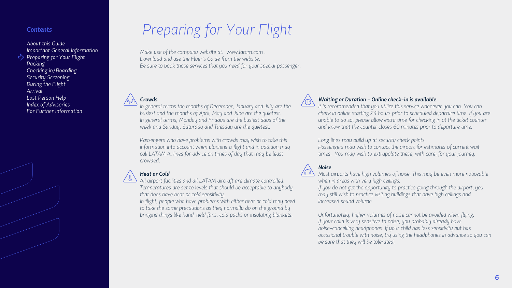## *Preparing for Your Flight*

#### *Crowds*

*In general terms the months of December, January and July are the busiest and the months of April, May and June are the quietest. In general terms, Monday and Fridays are the busiest days of the week and Sunday, Saturday and Tuesday are the quietest.* 

*Passengers who have problems with crowds may wish to take this information into account when planning a flight and in addition may call LATAM Airlines for advice on times of day that may be least crowded.*



#### *Heat or Cold*

*All airport facilities and all LATAM aircraft are climate controlled. Temperatures are set to levels that should be acceptable to anybody that does have heat or cold sensitivity.*

*In flight, people who have problems with either heat or cold may need to take the same precautions as they normally do on the ground by bringing things like hand-held fans, cold packs or insulating blankets.*



#### *Waiting or Duration - Online check-in is available*

*It is recommended that you utilize this service whenever you can. You can check in online starting 24 hours prior to scheduled departure time. If you are unable to do so, please allow extra time for checking in at the ticket counter and know that the counter closes 60 minutes prior to departure time.*

*Long lines may build up at security check points.*  Passengers may wish to contact the airport for estimates of current wait *times. You may wish to extrapolate these, with care, for your journey.*



*Most airports have high volumes of noise. This may be even more noticeable* 

*when in areas with very high ceilings. If you do not get the opportunity to practice going through the airport, you may still wish to practice visiting buildings that have high ceilings and increased sound volume.*

*Unfortunately, higher volumes of noise cannot be avoided when flying. If your child is very sensitive to noise, you probably already have noise-cancelling headphones. If your child has less sensitivity but has occasional trouble with noise, try using the headphones in advance so you can be sure that they will be tolerated.*

*Make use of the company website at: www.latam.com . Download and use the Flyer's Guide from the website. Be sure to book those services that you need for your special passenger.*



#### *Contents*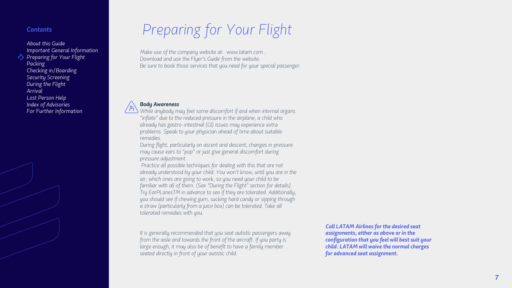## *Preparing for Your Flight*

#### *Body Awareness*

*While anybody may feel some discomfort if and when internal organs "inflate" due to the reduced pressure in the airplane, a child who already has gastro-intestinal (GI) issues may experience extra problems. Speak to your physician ahead of time about suitable remedies.* 

*During flight, particularly on ascent and descent, changes in pressure may cause ears to "pop" or just give general discomfort during pressure adjustment.*

*Practice all possible techniques for dealing with this that are not already understood by your child. You won't know, until you are in the air, which ones are going to work, so you need your child to be familiar with all of them. (See "During the Flight" section for details). Try EarPLanesTM in advance to see if they are tolerated. Additionally, you should see if chewing gum, sucking hard candy or sipping through a straw (particularly from a juice box) can be tolerated. Take all tolerated remedies with you.*

*It is generally recommended that you seat autistic passengers away from the aisle and towards the front of the aircraft. If you party is large enough, it may also be of benefit to have a family member seated directly in front of your autistic child.*

*Call LATAM Airlines for the desired seat assignments, either as above or in the configuration that you feel will best suit your child. LATAM will waive the normal charges for advanced seat assignment.*

*Make use of the company website at: www.latam.com . Download and use the Flyer's Guide from the website. Be sure to book those services that you need for your special passenger.*



#### *Contents*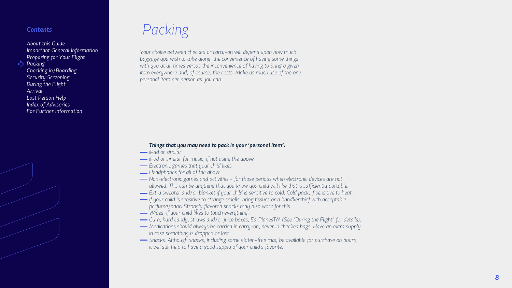## *Packing*

#### *Things that you may need to pack in your 'personal item':*

- *iPad or similar*
- *iPod or similar for music, if not using the above*
- *Electronic games that your child likes*
- *Headphones for all of the above.*
- *Non-electronic games and activities for those periods when electronic devices are not allowed. This can be anything that you know you child will like that is sufficiently portable.*
- *Extra sweater and/or blanket if your child is sensitive to cold. Cold pack, if sensitive to heat.*
- *If your child is sensitive to strange smells, bring tissues or a handkerchief with acceptable perfume/odor: Strongly flavored snacks may also work for this.*
- *Wipes, if your child likes to touch everything.*
- *Gum, hard candy, straws and/or juice boxes, EarPlanesTM (See "During the Flight" for details).*
- *Medications should always be carried in carry-on, never in checked bags. Have an extra supply in case something is dropped or lost.*
- *Snacks. Although snacks, including some gluten-free may be available for purchase on board, it will still help to have a good supply of your child's favorite.*

*Your choice between checked or carry-on will depend upon how much baggage you wish to take along, the convenience of having some things*  with you at all times versus the inconvenience of having to bring a given *item everywhere and, of course, the costs. Make as much use of the one personal item per person as you can.* 

#### *Contents*

*About this Guide Important General Information Preparing for Your Flight*

*Packing*

*Checking in/Boarding Security Screening During the Flight Arrival Lost Person Help Index of Advisories For Further Information*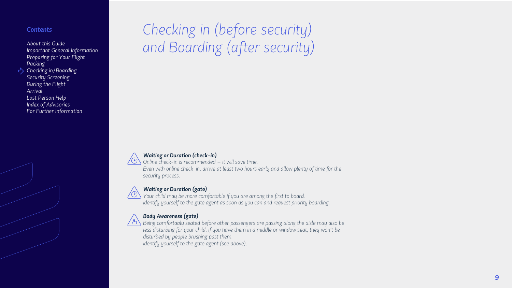# *Checking in (before security) and Boarding (after security)*



#### *Waiting or Duration (check-in)*

*Online check-in is recommended – it will save time. Even with online check-in, arrive at least two hours early and allow plenty of time for the security process.*



*Your child may be more comfortable if you are among the first to board. Identify yourself to the gate agent as soon as you can and request priority boarding.*



#### *Waiting or Duration (gate)*

#### *Body Awareness (gate)*

*Being comfortably seated before other passengers are passing along the aisle may also be*  less disturbing for your child. If you have them in a middle or window seat, they won't be *disturbed by people brushing past them.*

*Identify yourself to the gate agent (see above).*

#### *Contents*

*About this Guide Important General Information Preparing for Your Flight Packing Checking in/Boarding Security Screening During the Flight Arrival Lost Person Help*

*Index of Advisories*

*For Further Information*

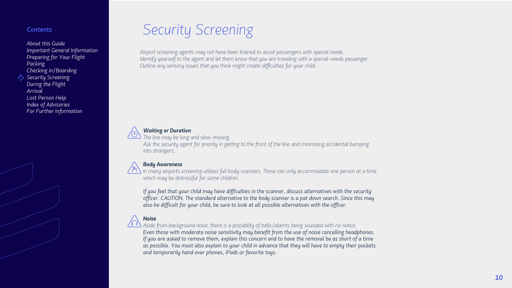## *Security Screening*

#### *Waiting or Duration*

*The line may be long and slow-moving.*

*Ask the security agent for priority in getting to the front of the line and minimizing accidental bumping into strangers.*



#### *Body Awareness*

*In many airports screening utilizes full body scanners. These can only accommodate one person at a time which may be distressful for some children.* 

*If you feel that your child may have difficulties in the scanner, discuss alternatives with the security officer. CAUTION. The standard alternative to the body scanner is a pat down search. Since this may also be difficult for your child, be sure to look at all possible alternatives with the officer.*



#### *Noise*

*Aside from background noise, there is a possibility of bells/alarms being sounded with no notice. Even those with moderate noise sensitivity may benefit from the use of noise cancelling headphones. If you are asked to remove them, explain this concern and to have the removal be as short of a time as possible. You must also explain to your child in advance that they will have to empty their pockets and temporarily hand over phones, iPads or favorite toys.*

*Airport screening agents may not have been trained to assist passengers with special needs. Identify yourself to the agent and let them know that you are traveling with a special-needs passenger. Outline any sensory issues that you think might create difficulties for your child.* 



#### *Contents*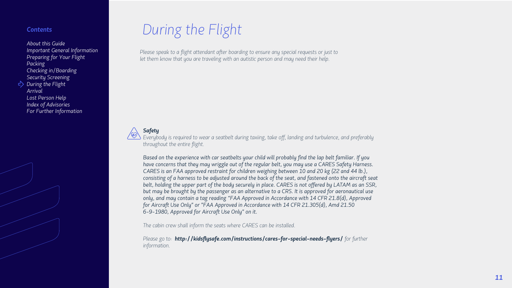## *During the Flight*

*Please speak to a flight attendant after boarding to ensure any special requests or just to* let them know that you are traveling with an autistic person and may need their help.



#### *Safety*

*Everybody is required to wear a seatbelt during taxiing, take off, landing and turbulence, and preferably throughout the entire flight.*

*Based on the experience with car seatbelts your child will probably find the lap belt familiar. If you have concerns that they may wriggle out of the regular belt, you may use a CARES Safety Harness. CARES is an FAA approved restraint for children weighing between 10 and 20 kg (22 and 44 lb.), consisting of a harness to be adjusted around the back of the seat, and fastened onto the aircraft seat belt, holding the upper part of the body securely in place. CARES is not offered by LATAM as an SSR, but may be brought by the passenger as an alternative to a CRS. It is approved for aeronautical use only, and may contain a tag reading "FAA Approved in Accordance with 14 CFR 21.8(d), Approved for Aircraft Use Only" or "FAA Approved in Accordance with 14 CFR 21.305(d), Amd 21.50 6-9-1980, Approved for Aircraft Use Only" on it.*

*The cabin crew shall inform the seats where CARES can be installed.* 

*Please go to: http://kidsflysafe.com/instructions/cares-for-special-needs-flyers/ for further information.* 

#### *Contents*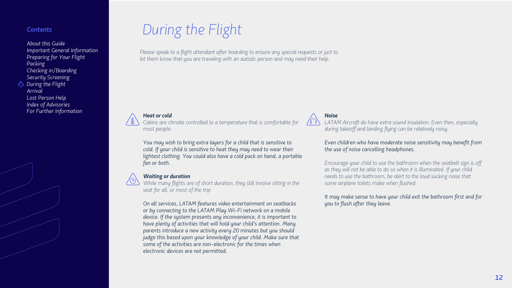*During the Flight*

*Heat or cold*

*Cabins are climate controlled to a temperature that is comfortable for* 

*Please speak to a flight attendant after boarding to ensure any special requests or just to* 

let them know that you are traveling with an autistic person and may need their help.

*most people.*

*You may wish to bring extra layers for a child that is sensitive to cold. If your child is sensitive to heat they may need to wear their* 

*lightest clothing. You could also have a cold pack on hand, a portable* 

*fan or both.* 

#### *Waiting or duration*

*While many flights are of short duration, they still involve sitting in the seat for all, or most of the trip.*

LATAM Aircraft do have extra sound insulation. Even then, especially *during takeoff and landing flying can be relatively noisy.*

*On all services, LATAM features video entertainment on seatbacks or by connecting to the LATAM Play Wi-Fi network on a mobile device. If the system presents any inconvenience, it is important to have plenty of activities that will hold your child's attention. Many parents introduce a new activity every 20 minutes but you should judge this based upon your knowledge of your child. Make sure that some of the activities are non-electronic for the times when electronic devices are not permitted.*

*Noise*

*Even children who have moderate noise sensitivity may benefit from the use of noise cancelling headphones.*

*Encourage your child to use the bathroom when the seatbelt sign is off*  as they will not be able to do so when it is illuminated. If your child *needs to use the bathroom, be alert to the loud sucking noise that some airplane toilets make when flushed.* 

*It may make sense to have your child exit the bathroom first and for you to flush after they leave.*

#### *Contents*

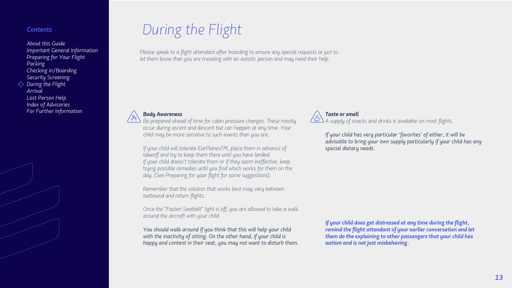## *During the Flight*

*Please speak to a flight attendant after boarding to ensure any special requests or just to* let them know that you are traveling with an autistic person and may need their help.



#### *Body Awareness*

*Be prepared ahead of time for cabin pressure changes. These mostly occur during ascent and descent but can happen at any time: Your child may be more sensitive to such events than you are.* 

*If your child will tolerate EarPlanesTM, place them in advance of takeoff and try to keep them there until you have landed. If your child doesn't tolerate them or if they seem ineffective, keep trying possible remedies until you find which works for them on the day. (See Preparing for your flight for some suggestions).*

*Remember that the solution that works best may vary between outbound and return flights.* 

*Once the "Fasten Seatbelt" light is off, you are allowed to take a walk around the aircraft with your child.*

*You should walk around if you think that this will help your child with the inactivity of sitting. On the other hand, if your child is happy and content in their seat, you may not want to disturb them.*



#### *Taste or smell*

*A supply of snacks and drinks is available on most flights.*

*If your child has very particular 'favorites' of either, it will be advisable to bring your own supply particularly if your child has any special dietary needs.*

*If your child does get distressed at any time during the flight, remind the flight attendant of your earlier conversation and let them do the explaining to other passengers that your child has autism and is not just misbehaving.* 

#### *Contents*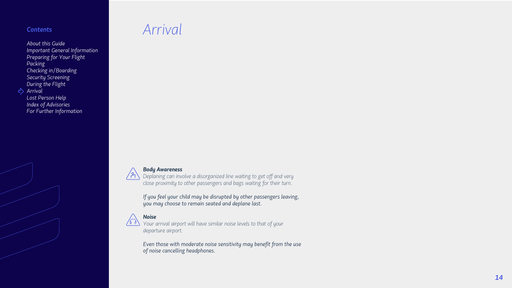*Arrival*

#### *Body Awareness*

*Deplaning can involve a disorganized line waiting to get off and very close proximity to other passengers and bags waiting for their turn.*

*If you feel your child may be disrupted by other passengers leaving, you may choose to remain seated and deplane last.*



#### *Noise*

*Your arrival airport will have similar noise levels to that of your departure airport.*

*Even those with moderate noise sensitivity may benefit from the use of noise cancelling headphones.*

*14*

#### *Contents*

*About this Guide Important General Information Preparing for Your Flight Packing Checking in/Boarding Security Screening During the Flight Arrival Lost Person Help*

*Index of Advisories For Further Information*

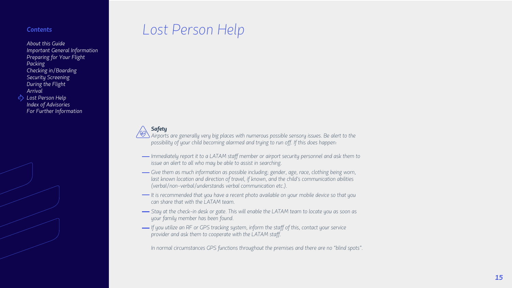## *Lost Person Help*

### *Safety*

*Airports are generally very big places with numerous possible sensory issues. Be alert to the possibility of your child becoming alarmed and trying to run off. If this does happen:*

- *Immediately report it to a LATAM staff member or airport security personnel and ask them to issue an alert to all who may be able to assist in searching.*
- *Give them as much information as possible including; gender, age, race, clothing being worn, last known location and direction of travel, if known, and the child's communication abilities (verbal/non-verbal/understands verbal communication etc.).*
- *It is recommended that you have a recent photo available on your mobile device so that you can share that with the LATAM team.*
- *Stay at the check-in desk or gate. This will enable the LATAM team to locate you as soon as your family member has been found.*
- *If you utilize an RF or GPS tracking system, inform the staff of this, contact your service provider and ask them to cooperate with the LATAM staff.*

*In normal circumstances GPS functions throughout the premises and there are no "blind spots".*

#### *Contents*

- *About this Guide Important General Information Preparing for Your Flight Packing Checking in/Boarding Security Screening During the Flight Arrival Lost Person Help*
- *Index of Advisories For Further Information*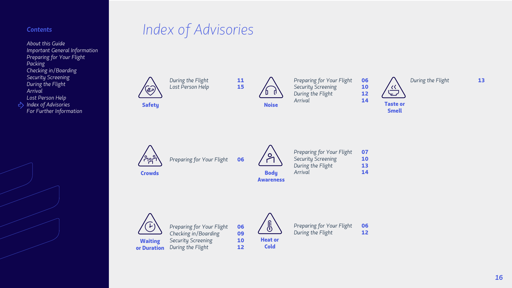## *Contents Index of Advisories*

*About this Guide Important General Information Preparing for Your Flight Packing Checking in/Boarding Security Screening During the Flight Arrival Lost Person Help Index of Advisories For Further Information*



**AIR** 

**Safety** 

**During the Flight 11**<br> *Lost Person Help* **15 Lost Person Help** 

 $\sqrt{2}$ Noise

**Body** Awareness

*Preparing for Your Flight* 06 *Checking in/Boarding* 09 **Security Screening 10 During the Flight 12** 



**Crowds** 



or Duration



*Preparing for Your Flight* 06 **During the Flight 12** 

*Preparing for Your Flight* 06



*Preparing for Your Flight* 06 **Security Screening 10**<br> **During the Flight 12** *During the Flight Arrival* 14

*Preparing for Your Flight* 07 **Security Screening 10 During the Flight 13** *Arrival* 14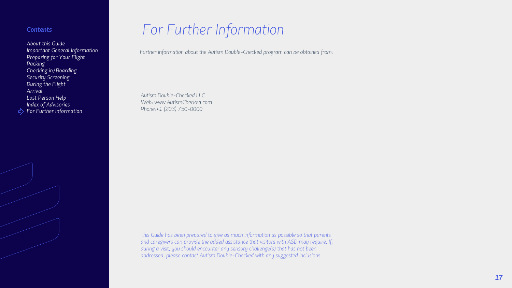## *For Further Information*

*Autism Double-Checked LLC Web: www.AutismChecked.com Phone:+1 (203) 750-0000*

*This Guide has been prepared to give as much information as possible so that parents and caregivers can provide the added assistance that visitors with ASD may require. If, during a visit, you should encounter any sensory challenge(s) that has not been addressed, please contact Autism Double-Checked with any suggested inclusions.*

*17*

*Further information about the Autism Double-Checked program can be obtained from:*

#### *Contents*